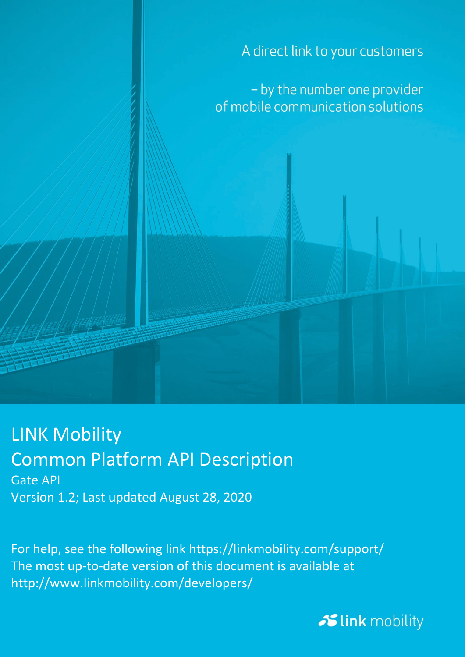A direct link to your customers

- by the number one provider of mobile communication solutions

### LINK Mobility Common Platform API Description Gate API

Version 1.2; Last updated August 28, 2020

For help, see the following link https://linkmobility.com/support/ The most up-to-date version of this document is available at http://www.linkmobility.com/developers/

**Slink** mobility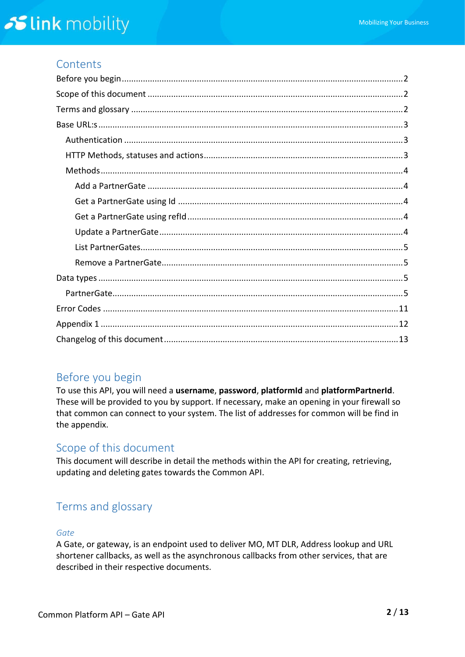### **Contents**

### <span id="page-1-0"></span>Before you begin

To use this API, you will need a **username**, **password**, **platformId** and **platformPartnerId**. These will be provided to you by support. If necessary, make an opening in your firewall so that common can connect to your system. The list of addresses for common will be find in the appendix.

### <span id="page-1-1"></span>Scope of this document

This document will describe in detail the methods within the API for creating, retrieving, updating and deleting gates towards the Common API.

### <span id="page-1-2"></span>Terms and glossary

#### *Gate*

A Gate, or gateway, is an endpoint used to deliver MO, MT DLR, Address lookup and URL shortener callbacks, as well as the asynchronous callbacks from other services, that are described in their respective documents.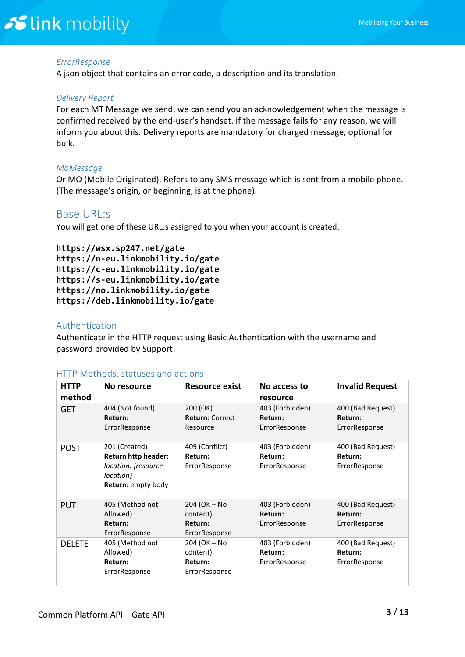#### *ErrorResponse*

A json object that contains an error code, a description and its translation.

#### *Delivery Report*

For each MT Message we send, we can send you an acknowledgement when the message is confirmed received by the end-user's handset. If the message fails for any reason, we will inform you about this. Delivery reports are mandatory for charged message, optional for bulk.

#### *MoMessage*

Or MO (Mobile Originated). Refers to any SMS message which is sent from a mobile phone. (The message's origin, or beginning, is at the phone).

#### <span id="page-2-0"></span>Base URL:s

You will get one of these URL:s assigned to you when your account is created:

**https://wsx.sp247.net/gate https://n-eu.linkmobility.io/gate https://c-eu.linkmobility.io/gate https://s-eu.linkmobility.io/gate https://no.linkmobility.io/gate https://deb.linkmobility.io/gate**

#### <span id="page-2-1"></span>Authentication

Authenticate in the HTTP request using Basic Authentication with the username and password provided by Support.

| <b>HTTP</b><br>method | No resource                                                                                                  | Resource exist                                       | No access to<br>resource                    | <b>Invalid Request</b>                        |
|-----------------------|--------------------------------------------------------------------------------------------------------------|------------------------------------------------------|---------------------------------------------|-----------------------------------------------|
| <b>GET</b>            | 404 (Not found)<br>Return:<br>ErrorResponse                                                                  | 200 (OK)<br><b>Return: Correct</b><br>Resource       | 403 (Forbidden)<br>Return:<br>ErrorResponse | 400 (Bad Request)<br>Return:<br>ErrorResponse |
| <b>POST</b>           | 201 (Created)<br><b>Return http header:</b><br>location: {resource<br>location}<br><b>Return:</b> empty body | 409 (Conflict)<br>Return:<br>ErrorResponse           | 403 (Forbidden)<br>Return:<br>ErrorResponse | 400 (Bad Request)<br>Return:<br>ErrorResponse |
| <b>PUT</b>            | 405 (Method not<br>Allowed)<br>Return:<br>ErrorResponse                                                      | 204 (OK - No<br>content)<br>Return:<br>ErrorResponse | 403 (Forbidden)<br>Return:<br>ErrorResponse | 400 (Bad Request)<br>Return:<br>ErrorResponse |
| <b>DELETE</b>         | 405 (Method not<br>Allowed)<br>Return:<br>ErrorResponse                                                      | 204 (OK - No<br>content)<br>Return:<br>ErrorResponse | 403 (Forbidden)<br>Return:<br>ErrorResponse | 400 (Bad Request)<br>Return:<br>ErrorResponse |

#### <span id="page-2-2"></span>HTTP Methods, statuses and actions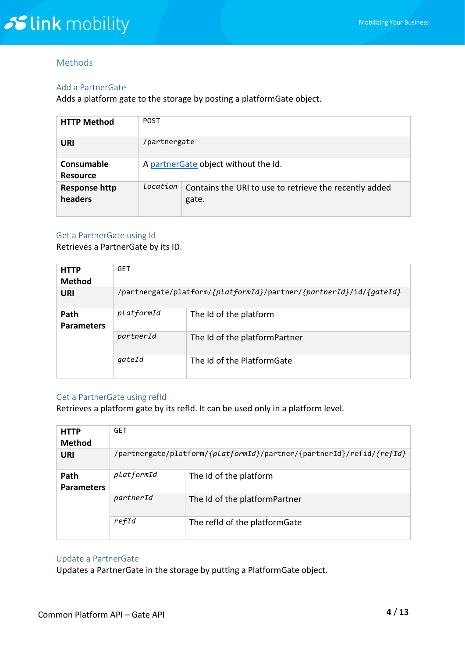#### <span id="page-3-0"></span>Methods

#### <span id="page-3-1"></span>Add a PartnerGate

Adds a platform gate to the storage by posting a platformGate object.

| <b>HTTP Method</b>              | <b>POST</b>                          |                                                                 |  |
|---------------------------------|--------------------------------------|-----------------------------------------------------------------|--|
| URI                             | /partnergate                         |                                                                 |  |
| Consumable<br><b>Resource</b>   | A partnerGate object without the Id. |                                                                 |  |
| <b>Response http</b><br>headers | Location                             | Contains the URI to use to retrieve the recently added<br>gate. |  |

#### <span id="page-3-2"></span>Get a PartnerGate using Id

Retrieves a PartnerGate by its ID.

| <b>HTTP</b><br><b>Method</b> | <b>GET</b>                                                         |                               |  |
|------------------------------|--------------------------------------------------------------------|-------------------------------|--|
| URI                          | /partnergate/platform/{platformId}/partner/{partnerId}/id/{gateId} |                               |  |
| Path<br><b>Parameters</b>    | platformId                                                         | The Id of the platform        |  |
|                              | partnerId                                                          | The Id of the platformPartner |  |
|                              | qateId                                                             | The Id of the PlatformGate    |  |

#### <span id="page-3-3"></span>Get a PartnerGate using refId

Retrieves a platform gate by its refId. It can be used only in a platform level.

| <b>HTTP</b>               | <b>GET</b>                                                           |                               |  |
|---------------------------|----------------------------------------------------------------------|-------------------------------|--|
| <b>Method</b>             |                                                                      |                               |  |
| <b>URI</b>                | /partnergate/platform/{platformId}/partner/{partnerId}/refid/{refId} |                               |  |
| Path<br><b>Parameters</b> | platformId                                                           | The Id of the platform        |  |
|                           | partnerId                                                            | The Id of the platformPartner |  |
|                           | refId                                                                | The refid of the platformGate |  |

#### <span id="page-3-4"></span>Update a PartnerGate

Updates a PartnerGate in the storage by putting a PlatformGate object.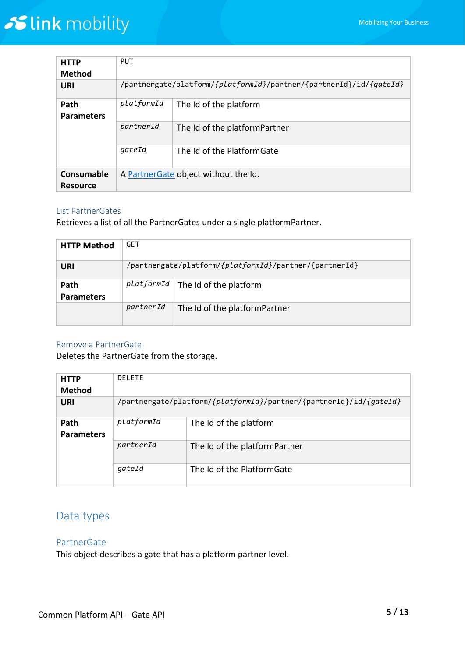| <b>HTTP</b><br><b>Method</b>         | <b>PUT</b>                                                         |                               |  |
|--------------------------------------|--------------------------------------------------------------------|-------------------------------|--|
| URI                                  | /partnergate/platform/{platformId}/partner/{partnerId}/id/{gateId} |                               |  |
| Path<br><b>Parameters</b>            | platformId                                                         | The Id of the platform        |  |
|                                      | partnerId                                                          | The Id of the platformPartner |  |
|                                      | gateId                                                             | The Id of the PlatformGate    |  |
| <b>Consumable</b><br><b>Resource</b> | A Partner Gate object without the Id.                              |                               |  |

#### <span id="page-4-0"></span>List PartnerGates

Retrieves a list of all the PartnerGates under a single platformPartner.

| <b>HTTP Method</b>        | <b>GET</b> |                                                        |
|---------------------------|------------|--------------------------------------------------------|
| URI                       |            | /partnergate/platform/{platformId}/partner/{partnerId} |
| Path<br><b>Parameters</b> |            | $platformId$   The Id of the platform                  |
|                           | partnerId  | The Id of the platformPartner                          |

#### <span id="page-4-1"></span>Remove a PartnerGate

Deletes the PartnerGate from the storage.

| <b>HTTP</b>               | <b>DELETE</b>                                                      |                               |  |
|---------------------------|--------------------------------------------------------------------|-------------------------------|--|
| <b>Method</b>             |                                                                    |                               |  |
| URI                       | /partnergate/platform/{platformId}/partner/{partnerId}/id/{gateId} |                               |  |
| Path<br><b>Parameters</b> | platformId                                                         | The Id of the platform        |  |
|                           | partnerId                                                          | The Id of the platformPartner |  |
|                           | qateId                                                             | The Id of the PlatformGate    |  |

### <span id="page-4-2"></span>Data types

#### <span id="page-4-3"></span>PartnerGate

This object describes a gate that has a platform partner level.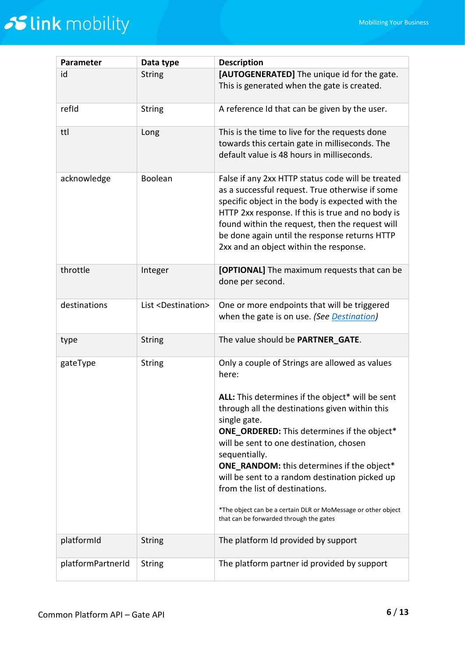| Parameter         | Data type                        | <b>Description</b>                                                                                                                                                                                                                                                                                                                                                                                                                                                                        |
|-------------------|----------------------------------|-------------------------------------------------------------------------------------------------------------------------------------------------------------------------------------------------------------------------------------------------------------------------------------------------------------------------------------------------------------------------------------------------------------------------------------------------------------------------------------------|
| id                | <b>String</b>                    | [AUTOGENERATED] The unique id for the gate.<br>This is generated when the gate is created.                                                                                                                                                                                                                                                                                                                                                                                                |
| refid             | <b>String</b>                    | A reference Id that can be given by the user.                                                                                                                                                                                                                                                                                                                                                                                                                                             |
| ttl               | Long                             | This is the time to live for the requests done<br>towards this certain gate in milliseconds. The<br>default value is 48 hours in milliseconds.                                                                                                                                                                                                                                                                                                                                            |
| acknowledge       | Boolean                          | False if any 2xx HTTP status code will be treated<br>as a successful request. True otherwise if some<br>specific object in the body is expected with the<br>HTTP 2xx response. If this is true and no body is<br>found within the request, then the request will<br>be done again until the response returns HTTP<br>2xx and an object within the response.                                                                                                                               |
| throttle          | Integer                          | [OPTIONAL] The maximum requests that can be<br>done per second.                                                                                                                                                                                                                                                                                                                                                                                                                           |
| destinations      | List <destination></destination> | One or more endpoints that will be triggered<br>when the gate is on use. (See Destination)                                                                                                                                                                                                                                                                                                                                                                                                |
| type              | <b>String</b>                    | The value should be PARTNER_GATE.                                                                                                                                                                                                                                                                                                                                                                                                                                                         |
| gateType          | <b>String</b>                    | Only a couple of Strings are allowed as values<br>here:                                                                                                                                                                                                                                                                                                                                                                                                                                   |
|                   |                                  | ALL: This determines if the object* will be sent<br>through all the destinations given within this<br>single gate.<br><b>ONE_ORDERED:</b> This determines if the object*<br>will be sent to one destination, chosen<br>sequentially.<br><b>ONE_RANDOM:</b> this determines if the object*<br>will be sent to a random destination picked up<br>from the list of destinations.<br>*The object can be a certain DLR or MoMessage or other object<br>that can be forwarded through the gates |
| platformId        | <b>String</b>                    | The platform Id provided by support                                                                                                                                                                                                                                                                                                                                                                                                                                                       |
| platformPartnerId | <b>String</b>                    | The platform partner id provided by support                                                                                                                                                                                                                                                                                                                                                                                                                                               |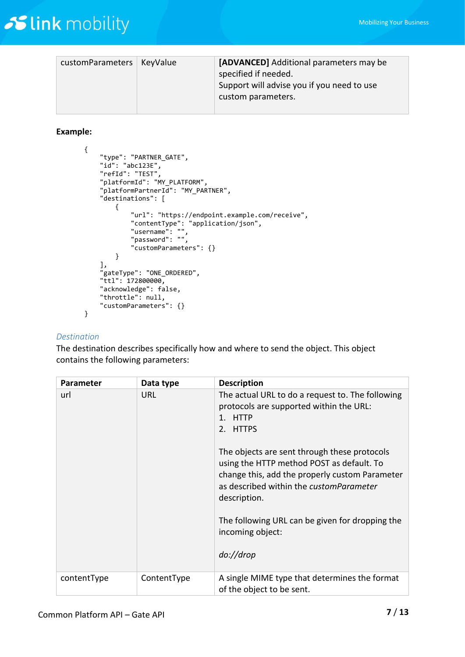| customParameters   KeyValue | [ADVANCED] Additional parameters may be<br>specified if needed.<br>Support will advise you if you need to use<br>custom parameters. |
|-----------------------------|-------------------------------------------------------------------------------------------------------------------------------------|

#### **Example:**

```
{
    "type": "PARTNER_GATE",
    "id": "abc123E",
    "refId": "TEST",
    "platformId": "MY_PLATFORM",
    "platformPartnerId": "MY_PARTNER",
    "destinations": [
        {
            "url": "https://endpoint.example.com/receive",
 "contentType": "application/json",
 "username": "",
 "password": "",
            "customParameters": {}
        }
 ],
 "gateType": "ONE_ORDERED",
   "ttl": 172800000,
    "acknowledge": false,
    "throttle": null,
    "customParameters": {}
}
```
#### <span id="page-6-0"></span>*Destination*

The destination describes specifically how and where to send the object. This object contains the following parameters:

| Parameter   | Data type   | <b>Description</b>                                                                                                                                                                                                                                                                                                                                                                                               |
|-------------|-------------|------------------------------------------------------------------------------------------------------------------------------------------------------------------------------------------------------------------------------------------------------------------------------------------------------------------------------------------------------------------------------------------------------------------|
| url         | <b>URL</b>  | The actual URL to do a request to. The following<br>protocols are supported within the URL:<br>1. HTTP<br>2. HTTPS<br>The objects are sent through these protocols<br>using the HTTP method POST as default. To<br>change this, add the properly custom Parameter<br>as described within the customParameter<br>description.<br>The following URL can be given for dropping the<br>incoming object:<br>do://drop |
| contentType | ContentType | A single MIME type that determines the format<br>of the object to be sent.                                                                                                                                                                                                                                                                                                                                       |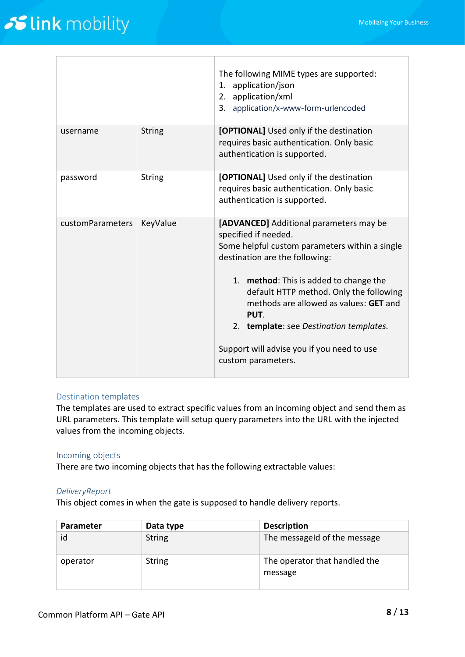|                  |               | The following MIME types are supported:<br>1. application/json<br>2. application/xml<br>3. application/x-www-form-urlencoded                                                                                                                                                                                                                                                                              |
|------------------|---------------|-----------------------------------------------------------------------------------------------------------------------------------------------------------------------------------------------------------------------------------------------------------------------------------------------------------------------------------------------------------------------------------------------------------|
| username         | <b>String</b> | [OPTIONAL] Used only if the destination<br>requires basic authentication. Only basic<br>authentication is supported.                                                                                                                                                                                                                                                                                      |
| password         | <b>String</b> | [OPTIONAL] Used only if the destination<br>requires basic authentication. Only basic<br>authentication is supported.                                                                                                                                                                                                                                                                                      |
| customParameters | KeyValue      | [ADVANCED] Additional parameters may be<br>specified if needed.<br>Some helpful custom parameters within a single<br>destination are the following:<br>1. method: This is added to change the<br>default HTTP method. Only the following<br>methods are allowed as values: GET and<br>PUT.<br>2. template: see Destination templates.<br>Support will advise you if you need to use<br>custom parameters. |

#### Destination templates

The templates are used to extract specific values from an incoming object and send them as URL parameters. This template will setup query parameters into the URL with the injected values from the incoming objects.

#### Incoming objects

There are two incoming objects that has the following extractable values:

#### *DeliveryReport*

This object comes in when the gate is supposed to handle delivery reports.

| <b>Parameter</b> | Data type     | <b>Description</b>                       |
|------------------|---------------|------------------------------------------|
| id               | <b>String</b> | The messageld of the message             |
| operator         | <b>String</b> | The operator that handled the<br>message |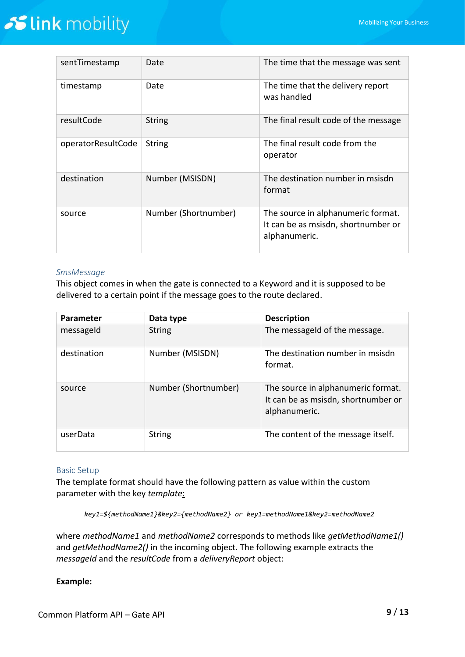| sentTimestamp      | Date                 | The time that the message was sent                                                         |
|--------------------|----------------------|--------------------------------------------------------------------------------------------|
| timestamp          | Date                 | The time that the delivery report<br>was handled                                           |
| resultCode         | <b>String</b>        | The final result code of the message                                                       |
| operatorResultCode | <b>String</b>        | The final result code from the<br>operator                                                 |
| destination        | Number (MSISDN)      | The destination number in msisdn<br>format                                                 |
| source             | Number (Shortnumber) | The source in alphanumeric format.<br>It can be as msisdn, shortnumber or<br>alphanumeric. |

#### *SmsMessage*

This object comes in when the gate is connected to a Keyword and it is supposed to be delivered to a certain point if the message goes to the route declared.

| <b>Parameter</b> | Data type            | <b>Description</b>                                                                         |
|------------------|----------------------|--------------------------------------------------------------------------------------------|
| messageld        | <b>String</b>        | The messageld of the message.                                                              |
| destination      | Number (MSISDN)      | The destination number in msisdn<br>format.                                                |
| source           | Number (Shortnumber) | The source in alphanumeric format.<br>It can be as msisdn, shortnumber or<br>alphanumeric. |
| userData         | <b>String</b>        | The content of the message itself.                                                         |

#### Basic Setup

The template format should have the following pattern as value within the custom parameter with the key *template*:

*key1=\${methodName1}&key2={methodName2} or key1=methodName1&key2=methodName2*

where *methodName1* and *methodName2* corresponds to methods like *getMethodName1()* and *getMethodName2()* in the incoming object. The following example extracts the *messageId* and the *resultCode* from a *deliveryReport* object:

#### **Example:**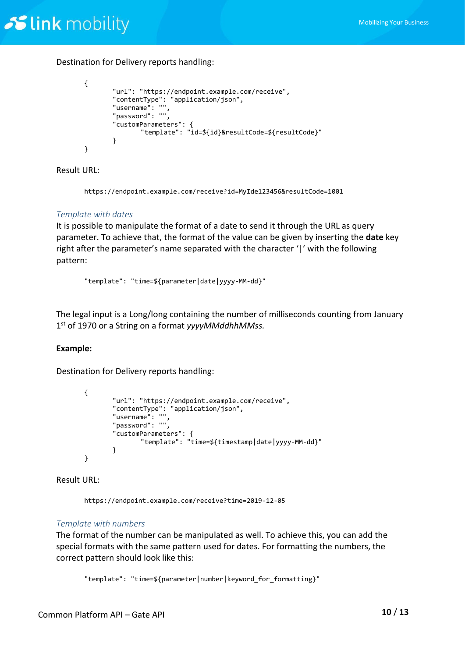Destination for Delivery reports handling:

```
{
       "url": "https://endpoint.example.com/receive",
       "contentType": "application/json",
       "username": "",
       "password": "",
       "customParameters": {
              "template": "id=${id}&resultCode=${resultCode}"
       }
}
```
Result URL:

https://endpoint.example.com/receive?id=MyIde123456&resultCode=1001

#### *Template with dates*

It is possible to manipulate the format of a date to send it through the URL as query parameter. To achieve that, the format of the value can be given by inserting the **date** key right after the parameter's name separated with the character '|' with the following pattern:

"template": "time=\${parameter|date|yyyy-MM-dd}"

The legal input is a Long/long containing the number of milliseconds counting from January 1 st of 1970 or a String on a format *yyyyMMddhhMMss.*

#### **Example:**

Destination for Delivery reports handling:

```
{
       "url": "https://endpoint.example.com/receive",
       "contentType": "application/json",
       "username": "",
       "password": "",
       "customParameters": {
               "template": "time=${timestamp|date|yyyy-MM-dd}"
       }
}
```
Result URL:

https://endpoint.example.com/receive?time=2019-12-05

#### *Template with numbers*

The format of the number can be manipulated as well. To achieve this, you can add the special formats with the same pattern used for dates. For formatting the numbers, the correct pattern should look like this:

"template": "time=\${parameter|number|keyword\_for\_formatting}"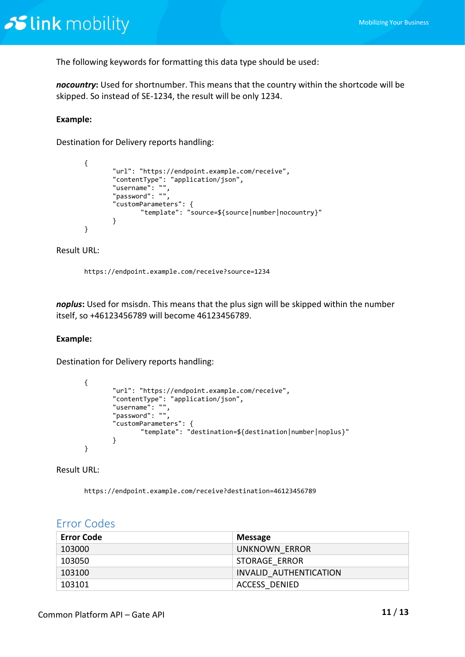The following keywords for formatting this data type should be used:

*nocountry***:** Used for shortnumber. This means that the country within the shortcode will be skipped. So instead of SE-1234, the result will be only 1234.

#### **Example:**

Destination for Delivery reports handling:

```
{
       "url": "https://endpoint.example.com/receive",
       "contentType": "application/json",
       "username": "",
       "password": "",
       "customParameters": {
               "template": "source=${source|number|nocountry}"
       }
}
```
#### Result URL:

https://endpoint.example.com/receive?source=1234

*noplus***:** Used for msisdn. This means that the plus sign will be skipped within the number itself, so +46123456789 will become 46123456789.

#### **Example:**

Destination for Delivery reports handling:

```
{
       "url": "https://endpoint.example.com/receive",
       "contentType": "application/json",
       "username": "",
       "password": "",
       "customParameters": {
               "template": "destination=${destination|number|noplus}"
       }
}
```
Result URL:

https://endpoint.example.com/receive?destination=46123456789

| <b>Error Code</b> | <b>Message</b>         |
|-------------------|------------------------|
| 103000            | UNKNOWN ERROR          |
| 103050            | <b>STORAGE ERROR</b>   |
| 103100            | INVALID AUTHENTICATION |
| 103101            | ACCESS DENIED          |

#### <span id="page-10-0"></span>Error Codes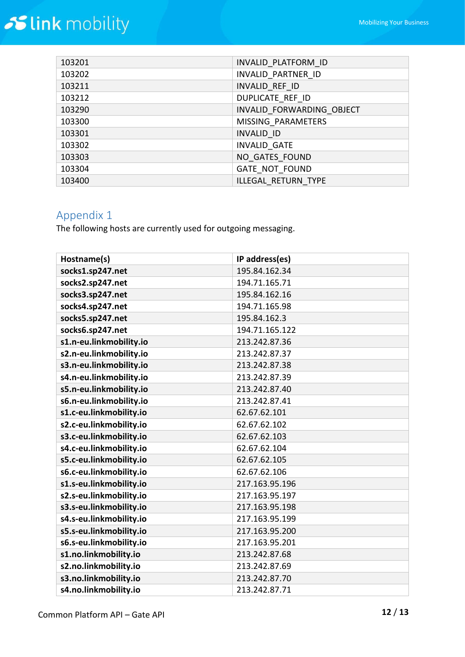| 103201 | INVALID PLATFORM ID       |
|--------|---------------------------|
| 103202 | INVALID PARTNER ID        |
| 103211 | INVALID REF ID            |
| 103212 | DUPLICATE REF ID          |
| 103290 | INVALID FORWARDING OBJECT |
| 103300 | MISSING PARAMETERS        |
| 103301 | <b>INVALID ID</b>         |
| 103302 | <b>INVALID GATE</b>       |
| 103303 | NO GATES FOUND            |
| 103304 | <b>GATE NOT FOUND</b>     |
| 103400 | ILLEGAL RETURN TYPE       |

### <span id="page-11-0"></span>Appendix 1

The following hosts are currently used for outgoing messaging.

| Hostname(s)             | IP address(es) |
|-------------------------|----------------|
| socks1.sp247.net        | 195.84.162.34  |
| socks2.sp247.net        | 194.71.165.71  |
| socks3.sp247.net        | 195.84.162.16  |
| socks4.sp247.net        | 194.71.165.98  |
| socks5.sp247.net        | 195.84.162.3   |
| socks6.sp247.net        | 194.71.165.122 |
| s1.n-eu.linkmobility.io | 213.242.87.36  |
| s2.n-eu.linkmobility.io | 213.242.87.37  |
| s3.n-eu.linkmobility.io | 213.242.87.38  |
| s4.n-eu.linkmobility.io | 213.242.87.39  |
| s5.n-eu.linkmobility.io | 213.242.87.40  |
| s6.n-eu.linkmobility.io | 213.242.87.41  |
| s1.c-eu.linkmobility.io | 62.67.62.101   |
| s2.c-eu.linkmobility.io | 62.67.62.102   |
| s3.c-eu.linkmobility.io | 62.67.62.103   |
| s4.c-eu.linkmobility.io | 62.67.62.104   |
| s5.c-eu.linkmobility.io | 62.67.62.105   |
| s6.c-eu.linkmobility.io | 62.67.62.106   |
| s1.s-eu.linkmobility.io | 217.163.95.196 |
| s2.s-eu.linkmobility.io | 217.163.95.197 |
| s3.s-eu.linkmobility.io | 217.163.95.198 |
| s4.s-eu.linkmobility.io | 217.163.95.199 |
| s5.s-eu.linkmobility.io | 217.163.95.200 |
| s6.s-eu.linkmobility.io | 217.163.95.201 |
| s1.no.linkmobility.io   | 213.242.87.68  |
| s2.no.linkmobility.io   | 213.242.87.69  |
| s3.no.linkmobility.io   | 213.242.87.70  |
| s4.no.linkmobility.io   | 213.242.87.71  |